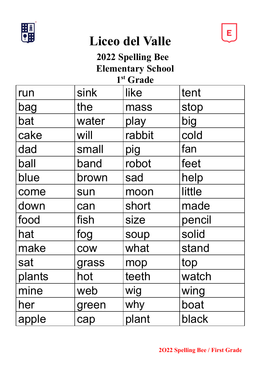



## **Liceo del Valle**

## **2022 Spelling Bee Elementary School**

**1 st Grade**

| run    | sink       | like   | tent   |
|--------|------------|--------|--------|
| bag    | the        | mass   | stop   |
| bat    | water      | play   | big    |
| cake   | will       | rabbit | cold   |
| dad    | small      | pig    | fan    |
| ball   | band       | robot  | feet   |
| blue   | brown      | sad    | help   |
| come   | sun        | moon   | little |
| down   | can        | short  | made   |
| food   | fish       | size   | pencil |
| hat    | fog        | soup   | solid  |
| make   | <b>COW</b> | what   | stand  |
| sat    | grass      | mop    | top    |
| plants | hot        | teeth  | watch  |
| mine   | web        | wig    | wing   |
| her    | green      | why    | boat   |
| apple  | cap        | plant  | black  |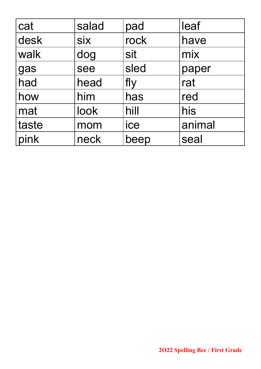| cat   | salad      | pad  | leaf   |
|-------|------------|------|--------|
| desk  | <b>Six</b> | rock | have   |
| walk  | dog        | sit  | mix    |
| gas   | see        | sled | paper  |
| had   | head       | fly  | rat    |
| how   | him        | has  | red    |
| mat   | look       | hill | his    |
| taste | mom        | ice  | animal |
| pink  | neck       | beep | seal   |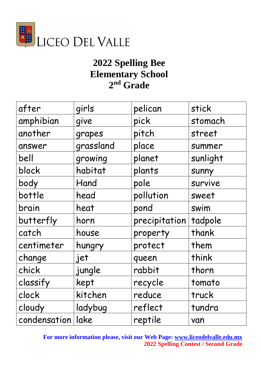

## **2022 Spelling Bee Elementary School 2 nd Grade**

| after               | girls     | pelican       | stick    |
|---------------------|-----------|---------------|----------|
| amphibian           | give      | pick          | stomach  |
| another             | grapes    | pitch         | street   |
| answer              | grassland | place         | summer   |
| bell                | growing   | planet        | sunlight |
| block               | habitat   | plants        | sunny    |
| body                | Hand      | pole          | survive  |
| bottle              | head      | pollution     | sweet    |
| brain               | heat      | pond          | swim     |
| butterfly           | horn      | precipitation | tadpole  |
| catch               | house     | property      | thank    |
| centimeter          | hungry    | protect       | them     |
| change              | jet       | queen         | think    |
| chick               | jungle    | rabbit        | thorn    |
| classify            | kept      | recycle       | tomato   |
| clock               | kitchen   | reduce        | truck    |
| cloudy              | ladybug   | reflect       | tundra   |
| condensation   lake |           | reptile       | van      |

**For more information please, visit our Web Page: [www.liceodelvalle.edu.mx](http://www.liceodelvalle.edu.mx/)  2022 Spelling Contest / Second Grade**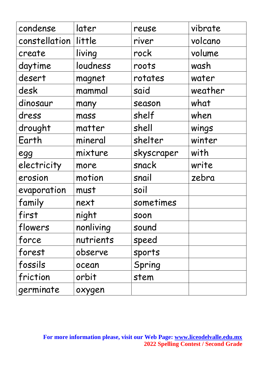| condense      | later     | reuse      | vibrate |
|---------------|-----------|------------|---------|
| constellation | little    | river      | volcano |
| create        | living    | rock       | volume  |
| daytime       | loudness  | roots      | wash    |
| desert        | magnet    | rotates    | water   |
| desk          | mammal    | said       | weather |
| dinosaur      | many      | season     | what    |
| dress         | mass      | shelf      | when    |
| drought       | matter    | shell      | wings   |
| Earth         | mineral   | shelter    | winter  |
| egg           | mixture   | skyscraper | with    |
| electricity   | more      | snack      | write   |
| erosion       | motion    | snail      | zebra   |
| evaporation   | must      | soil       |         |
| family        | next      | sometimes  |         |
| first         | night     | soon       |         |
| flowers       | nonliving | sound      |         |
| force         | nutrients | speed      |         |
| forest        | observe   | sports     |         |
| fossils       | ocean     | Spring     |         |
| friction      | orbit     | stem       |         |
| germinate     | oxygen    |            |         |
|               |           |            |         |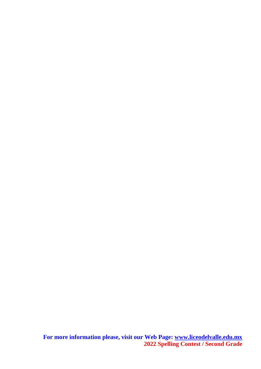**For more information please, visit our Web Page: [www.liceodelvalle.edu.mx](http://www.liceodelvalle.edu.mx/)  2022 Spelling Contest / Second Grade**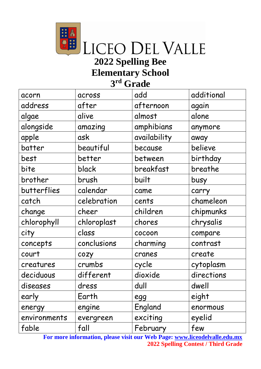

**Elementary School**

**3 rd Grade**

| acorn        | across      | add          | additional |
|--------------|-------------|--------------|------------|
| address      | after       | afternoon    | again      |
| algae        | alive       | almost       | alone      |
| alongside    | amazing     | amphibians   | anymore    |
| apple        | ask         | availability | away       |
| batter       | beautiful   | because      | believe    |
| best         | better      | between      | birthday   |
| bite         | black       | breakfast    | breathe    |
| brother      | brush       | built        | busy       |
| butterflies  | calendar    | came         | carry      |
| catch        | celebration | cents        | chameleon  |
| change       | cheer       | children     | chipmunks  |
| chlorophyll  | chloroplast | chores       | chrysalis  |
| city         | class       | cocoon       | compare    |
| concepts     | conclusions | charming     | contrast   |
| court        | cozy        | cranes       | create     |
| creatures    | crumbs      | cycle        | cytoplasm  |
| deciduous    | different   | dioxide      | directions |
| diseases     | dress       | dull         | dwell      |
| early        | Earth       | egg          | eight      |
| energy       | engine      | England      | enormous   |
| environments | evergreen   | exciting     | eyelid     |
| fable        | fall        | February     | few        |

**For more information, please visit our Web Page: [www.liceodelvalle.edu.mx](http://www.liceodelvalle.edu.mx/)  2022 Spelling Contest / Third Grade**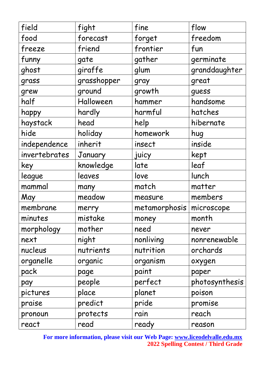| field         | fight       | fine          | flow           |
|---------------|-------------|---------------|----------------|
| food          | forecast    | forget        | freedom        |
| freeze        | friend      | frontier      | fun            |
| funny         | gate        | gather        | germinate      |
| ghost         | giraffe     | glum          | granddaughter  |
| grass         | grasshopper | gray          | great          |
| grew          | ground      | growth        | guess          |
| half          | Halloween   | hammer        | handsome       |
| happy         | hardly      | harmful       | hatches        |
| haystack      | head        | help          | hibernate      |
| hide          | holiday     | homework      | hug            |
| independence  | inherit     | insect        | inside         |
| invertebrates | January     | juicy         | kept           |
| key           | knowledge   | late          | leaf           |
| league        | leaves      | love          | lunch          |
| mammal        | many        | match         | matter         |
| May           | meadow      | measure       | members        |
| membrane      | merry       | metamorphosis | microscope     |
| minutes       | mistake     | money         | month          |
| morphology    | mother      | need          | never          |
| next          | night       | nonliving     | nonrenewable   |
| nucleus       | nutrients   | nutrition     | orchards       |
| organelle     | organic     | organism      | oxygen         |
| pack          | page        | paint         | paper          |
| pay           | people      | perfect       | photosynthesis |
| pictures      | place       | planet        | poison         |
| praise        | predict     | pride         | promise        |
| pronoun       | protects    | rain          | reach          |
| react         | read        | ready         | reason         |

**For more information, please visit our Web Page: [www.liceodelvalle.edu.mx](http://www.liceodelvalle.edu.mx/)  2022 Spelling Contest / Third Grade**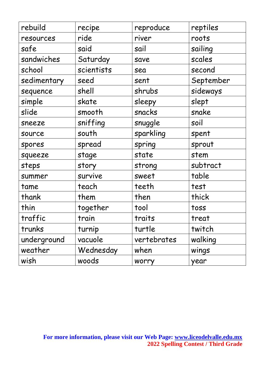| rebuild     | recipe     | reproduce   | reptiles  |
|-------------|------------|-------------|-----------|
| resources   | ride       | river       | roots     |
| safe        | said       | sail        | sailing   |
| sandwiches  | Saturday   | save        | scales    |
| school      | scientists | sea         | second    |
| sedimentary | seed       | sent        | September |
| sequence    | shell      | shrubs      | sideways  |
| simple      | skate      | sleepy      | slept     |
| slide       | smooth     | snacks      | snake     |
| sneeze      | sniffing   | snuggle     | soil      |
| source      | south      | sparkling   | spent     |
| spores      | spread     | spring      | sprout    |
| squeeze     | stage      | state       | stem      |
| steps       | story      | strong      | subtract  |
| summer      | survive    | sweet       | table     |
| tame        | teach      | teeth       | test      |
| thank       | them       | then        | thick     |
| thin        | together   | tool        | toss      |
| traffic     | train      | traits      | treat     |
| trunks      | turnip     | turtle      | twitch    |
| underground | vacuole    | vertebrates | walking   |
| weather     | Wednesday  | when        | wings     |
| wish        | woods      | worry       | year      |
|             |            |             |           |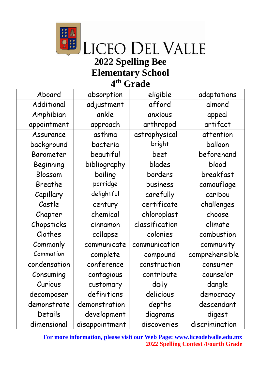

**Elementary School**

**4 th Grade**

| Aboard       | absorption     | eligible       | adaptations    |
|--------------|----------------|----------------|----------------|
| Additional   | adjustment     | afford         | almond         |
| Amphibian    | ankle          | anxious        | appeal         |
| appointment  | approach       | arthropod      | artifact       |
| Assurance    | asthma         | astrophysical  | attention      |
| background   | bacteria       | bright         | balloon        |
| Barometer    | beautiful      | beet           | beforehand     |
| Beginning    | bibliography   | blades         | blood          |
| Blossom      | boiling        | borders        | breakfast      |
| Breathe      | porridge       | business       | camouflage     |
| Capillary    | delightful     | carefully      | caribou        |
| Castle       | century        | certificate    | challenges     |
| Chapter      | chemical       | chloroplast    | choose         |
| Chopsticks   | cinnamon       | classification | climate        |
| Clothes      | collapse       | colonies       | combustion     |
| Commonly     | communicate    | communication  | community      |
| Commotion    | complete       | compound       | comprehensible |
| condensation | conference     | construction   | consumer       |
| Consuming    | contagious     | contribute     | counselor      |
| Curious      | customary      | daily          | dangle         |
| decomposer   | definitions    | delicious      | democracy      |
| demonstrate  | demonstration  | depths         | descendant     |
| Details      | development    | diagrams       | digest         |
| dimensional  | disappointment | discoveries    | discrimination |

**For more information, please visit our Web Page: [www.liceodelvalle.edu.mx](http://www.liceodelvalle.edu.mx/)  2022 Spelling Contest /Fourth Grade**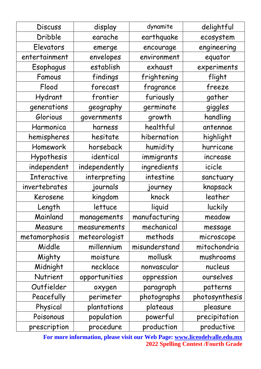| <b>Discuss</b> | display       | dynamite      | delightful     |
|----------------|---------------|---------------|----------------|
| Dribble        | earache       | earthquake    | ecosystem      |
| Elevators      | emerge        | encourage     | engineering    |
| entertainment  | envelopes     | environment   | equator        |
| Esophagus      | establish     | exhaust       | experiments    |
| Famous         | findings      | frightening   | flight         |
| Flood          | forecast      | fragrance     | freeze         |
| Hydrant        | frontier      | furiously     | gather         |
| generations    | geography     | germinate     | giggles        |
| Glorious       | governments   | growth        | handling       |
| Harmonica      | harness       | healthful     | antennae       |
| hemispheres    | hesitate      | hibernation   | highlight      |
| Homework       | horseback     | humidity      | hurricane      |
| Hypothesis     | identical     | immigrants    | increase       |
| independent    | independently | ingredients   | icicle         |
| Interactive    | interpreting  | intestine     | sanctuary      |
| invertebrates  | journals      | journey       | knapsack       |
| Kerosene       | kingdom       | knock         | leather        |
| Length         | lettuce       | liquid        | luckily        |
| Mainland       | managements   | manufacturing | meadow         |
| Measure        | measurements  | mechanical    | message        |
| metamorphosis  | meteorologist | methods       | microscope     |
| Middle         | millennium    | misunderstand | mitochondria   |
| Mighty         | moisture      | mollusk       | mushrooms      |
| Midnight       | necklace      | nonvascular   | nucleus        |
| Nutrient       | opportunities | oppression    | ourselves      |
| Outfielder     | oxygen        | paragraph     | patterns       |
| Peacefully     | perimeter     | photographs   | photosynthesis |
| Physical       | plantations   | plateaus      | pleasure       |
| Poisonous      | population    | powerful      | precipitation  |
| prescription   | procedure     | production    | productive     |

**For more information, please visit our Web Page: [www.liceodelvalle.edu.mx](http://www.liceodelvalle.edu.mx/)  2022 Spelling Contest /Fourth Grade**